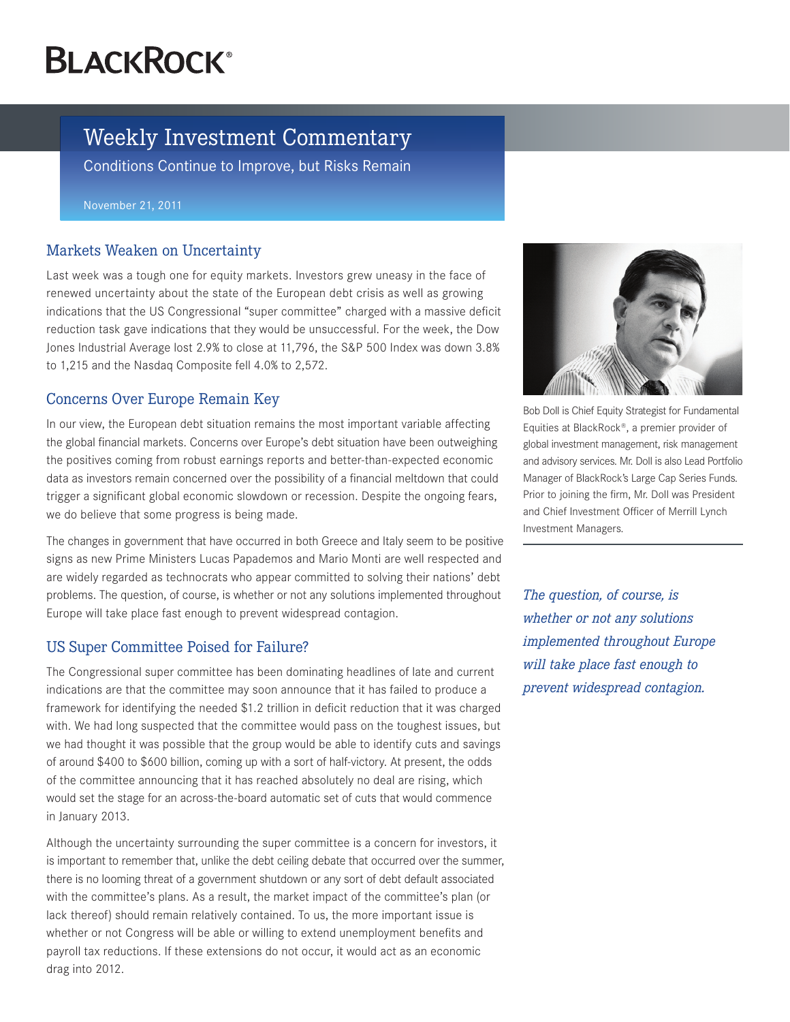# **BLACKROCK®**

# Weekly Investment Commentary

Conditions Continue to Improve, but Risks Remain

November 21, 2011

#### Markets Weaken on Uncertainty

Last week was a tough one for equity markets. Investors grew uneasy in the face of renewed uncertainty about the state of the European debt crisis as well as growing indications that the US Congressional "super committee" charged with a massive deficit reduction task gave indications that they would be unsuccessful. For the week, the Dow Jones Industrial Average lost 2.9% to close at 11,796, the S&P 500 Index was down 3.8% to 1,215 and the Nasdaq Composite fell 4.0% to 2,572.

## Concerns Over Europe Remain Key

In our view, the European debt situation remains the most important variable affecting the global financial markets. Concerns over Europe's debt situation have been outweighing the positives coming from robust earnings reports and better-than-expected economic data as investors remain concerned over the possibility of a financial meltdown that could trigger a significant global economic slowdown or recession. Despite the ongoing fears, we do believe that some progress is being made.

The changes in government that have occurred in both Greece and Italy seem to be positive signs as new Prime Ministers Lucas Papademos and Mario Monti are well respected and are widely regarded as technocrats who appear committed to solving their nations' debt problems. The question, of course, is whether or not any solutions implemented throughout Europe will take place fast enough to prevent widespread contagion.

## US Super Committee Poised for Failure?

The Congressional super committee has been dominating headlines of late and current indications are that the committee may soon announce that it has failed to produce a framework for identifying the needed \$1.2 trillion in deficit reduction that it was charged with. We had long suspected that the committee would pass on the toughest issues, but we had thought it was possible that the group would be able to identify cuts and savings of around \$400 to \$600 billion, coming up with a sort of half-victory. At present, the odds of the committee announcing that it has reached absolutely no deal are rising, which would set the stage for an across-the-board automatic set of cuts that would commence in January 2013.

Although the uncertainty surrounding the super committee is a concern for investors, it is important to remember that, unlike the debt ceiling debate that occurred over the summer, there is no looming threat of a government shutdown or any sort of debt default associated with the committee's plans. As a result, the market impact of the committee's plan (or lack thereof) should remain relatively contained. To us, the more important issue is whether or not Congress will be able or willing to extend unemployment benefits and payroll tax reductions. If these extensions do not occur, it would act as an economic drag into 2012.



Bob Doll is Chief Equity Strategist for Fundamental Equities at BlackRock®, a premier provider of global investment management, risk management and advisory services. Mr. Doll is also Lead Portfolio Manager of BlackRock's Large Cap Series Funds. Prior to joining the firm, Mr. Doll was President and Chief Investment Officer of Merrill Lynch Investment Managers.

*The question, of course, is whether or not any solutions implemented throughout Europe will take place fast enough to prevent widespread contagion.*